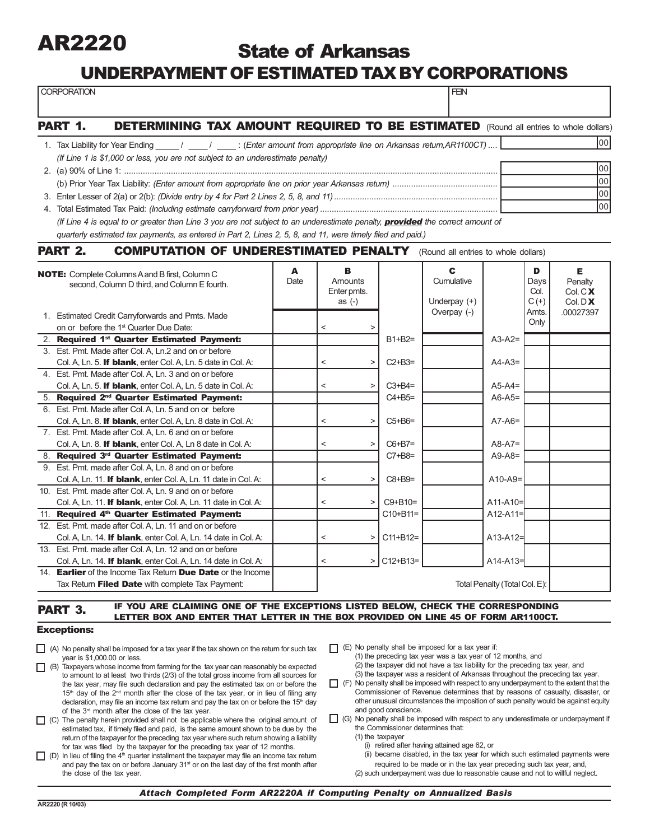

## State of Arkansas

### UNDERPAYMENT OF ESTIMATED TAX BY CORPORATIONS

| <b>CORPORATION</b>                                                                                                                   |      |                          |             |               | <b>FEN</b>                    |                               |                 |                      |  |
|--------------------------------------------------------------------------------------------------------------------------------------|------|--------------------------|-------------|---------------|-------------------------------|-------------------------------|-----------------|----------------------|--|
| PART 1.<br><b>DETERMINING TAX AMOUNT REQUIRED TO BE ESTIMATED</b> (Round all entries to whole dollars)                               |      |                          |             |               |                               |                               |                 |                      |  |
| 1. Tax Liability for Year Ending _____/ _____/ ______: (Enter amount from appropriate line on Arkansas return, AR1100CT)             |      |                          |             |               |                               |                               |                 | lool                 |  |
| (If Line 1 is \$1,000 or less, you are not subject to an underestimate penalty)                                                      |      |                          |             |               |                               |                               |                 |                      |  |
| 00                                                                                                                                   |      |                          |             |               |                               |                               |                 |                      |  |
| 00                                                                                                                                   |      |                          |             |               |                               |                               |                 |                      |  |
| $\overline{00}$                                                                                                                      |      |                          |             |               |                               |                               |                 |                      |  |
| 00                                                                                                                                   |      |                          |             |               |                               |                               |                 |                      |  |
| (If Line 4 is equal to or greater than Line 3 you are not subject to an underestimate penalty, <b>provided</b> the correct amount of |      |                          |             |               |                               |                               |                 |                      |  |
| quarterly estimated tax payments, as entered in Part 2, Lines 2, 5, 8, and 11, were timely filed and paid.)                          |      |                          |             |               |                               |                               |                 |                      |  |
| <b>PART 2.</b><br><b>COMPUTATION OF UNDERESTIMATED PENALTY</b> (Round all entries to whole dollars)                                  |      |                          |             |               |                               |                               |                 |                      |  |
| <b>NOTE:</b> Complete Columns A and B first, Column C                                                                                | A    |                          | в           |               | C                             |                               | D               | Е.                   |  |
| second, Column D third, and Column E fourth.                                                                                         | Date |                          | Amounts     |               | Cumulative                    |                               | Days            | Penalty              |  |
|                                                                                                                                      |      |                          | Enter pmts. |               |                               |                               | Col.            | Col.C <b>X</b>       |  |
|                                                                                                                                      |      |                          | as $(-)$    |               | Underpay $(+)$<br>Overpay (-) |                               | $C(+)$<br>Amts. | Col. D X<br>00027397 |  |
| 1. Estimated Credit Carryforwards and Pmts. Made                                                                                     |      |                          |             |               |                               |                               | Only            |                      |  |
| on or before the 1 <sup>st</sup> Quarter Due Date:                                                                                   |      | $\,<\,$                  | $\geq$      |               |                               |                               |                 |                      |  |
| 2. Required 1st Quarter Estimated Payment:                                                                                           |      |                          |             | $B1+B2=$      |                               | $A3-A2=$                      |                 |                      |  |
| 3. Est. Pmt. Made after Col. A, Ln.2 and on or before                                                                                |      |                          |             |               |                               |                               |                 |                      |  |
| Col. A, Ln. 5. If blank, enter Col. A, Ln. 5 date in Col. A:<br>4. Est. Pmt. Made after Col. A, Ln. 3 and on or before               |      | $\,<\,$                  | $\, >$      | $C2+B3=$      |                               | $A4-A3=$                      |                 |                      |  |
| Col. A, Ln. 5. If blank, enter Col. A, Ln. 5 date in Col. A:                                                                         |      | $\,<\,$                  | $\, >$      | $C3 + B4 =$   |                               | $A5-A4=$                      |                 |                      |  |
| 5. Required 2 <sup>nd</sup> Quarter Estimated Payment:                                                                               |      |                          |             | $C4 + B5 =$   |                               | $A6-A5=$                      |                 |                      |  |
| 6. Est. Pmt. Made after Col. A, Ln. 5 and on or before                                                                               |      |                          |             |               |                               |                               |                 |                      |  |
| Col. A, Ln. 8. If blank, enter Col. A, Ln. 8 date in Col. A:                                                                         |      | $\,<\,$                  | $\geq$      | $C5+B6=$      |                               | $A7-A6=$                      |                 |                      |  |
| 7. Est. Pmt. Made after Col. A, Ln. 6 and on or before                                                                               |      |                          |             |               |                               |                               |                 |                      |  |
| Col. A, Ln. 8. If blank, enter Col. A, Ln 8 date in Col. A:                                                                          |      | $\,<\,$                  | $\geq$      | $C6 + B7 =$   |                               | $A8-A7=$                      |                 |                      |  |
| 8. Required 3rd Quarter Estimated Payment:                                                                                           |      |                          |             | $C7+B8=$      |                               | $A9 - A8 =$                   |                 |                      |  |
| 9. Est. Pmt. made after Col. A, Ln. 8 and on or before                                                                               |      |                          |             |               |                               |                               |                 |                      |  |
| Col. A, Ln. 11. If blank, enter Col. A, Ln. 11 date in Col. A:                                                                       |      | $\,<\,$                  | $\geq$      | $C8 + B9 =$   |                               | $A10-A9=$                     |                 |                      |  |
| 10. Est. Pmt. made after Col. A, Ln. 9 and on or before                                                                              |      |                          |             |               |                               |                               |                 |                      |  |
| Col. A, Ln. 11. If blank, enter Col. A, Ln. 11 date in Col. A:                                                                       |      | $\,<\,$                  | $\geq$      | $C9 + B10 =$  |                               | $A11 - A10 =$                 |                 |                      |  |
| 11. Required 4th Quarter Estimated Payment:                                                                                          |      |                          |             | $C10 + B11 =$ |                               | $A12 - A11 =$                 |                 |                      |  |
| 12. Est. Pmt. made after Col. A, Ln. 11 and on or before                                                                             |      |                          |             |               |                               |                               |                 |                      |  |
| Col. A, Ln. 14. If blank, enter Col. A, Ln. 14 date in Col. A:                                                                       |      | $\overline{\phantom{0}}$ |             | $>$ C11+B12=  |                               | $A13 - A12 =$                 |                 |                      |  |
| 13. Est. Pmt. made after Col. A, Ln. 12 and on or before                                                                             |      |                          |             |               |                               |                               |                 |                      |  |
| Col. A, Ln. 14. If blank, enter Col. A, Ln. 14 date in Col. A:                                                                       |      | $\,<\,$                  |             | $>$ C12+B13=  |                               | $A14 - A13 =$                 |                 |                      |  |
| 14. <b>Earlier</b> of the Income Tax Return <b>Due Date</b> or the Income                                                            |      |                          |             |               |                               |                               |                 |                      |  |
| Tax Return Filed Date with complete Tax Payment:                                                                                     |      |                          |             |               |                               | Total Penalty (Total Col. E): |                 |                      |  |

#### **PART 3. IF YOU ARE CLAIMING ONE OF THE EXCEPTIONS LISTED BELOW, CHECK THE CORRESPONDING** LETTER BOX AND ENTER THAT LETTER IN THE BOX PROVIDED ON LINE 45 OF FORM AR1100CT.

#### Exceptions:

- $\Box$  (A) No penalty shall be imposed for a tax year if the tax shown on the return for such tax year is \$1,000.00 or less.
- $\Box$  (B) Taxpayers whose income from farming for the tax year can reasonably be expected to amount to at least two thirds (2/3) of the total gross income from all sources for the tax year, may file such declaration and pay the estimated tax on or before the 15<sup>th</sup> day of the 2<sup>nd</sup> month after the close of the tax year, or in lieu of filing any declaration, may file an income tax return and pay the tax on or before the 15<sup>th</sup> day of the 3<sup>rd</sup> month after the close of the tax year.
- $\Box$  (C) The penalty herein provided shall not be applicable where the original amount of estimated tax, if timely filed and paid, is the same amount shown to be due by the return of the taxpayer for the preceding tax year where such return showing a liability for tax was filed by the taxpayer for the preceding tax year of 12 months.
- $\Box$  (D) In lieu of filing the 4<sup>th</sup> quarter installment the taxpayer may file an income tax return and pay the tax on or before January 31<sup>st</sup> or on the last day of the first month after the close of the tax year.
- $\Box$  (E) No penalty shall be imposed for a tax year if:
	- (1) the preceding tax year was a tax year of 12 months, and (2) the taxpayer did not have a tax liability for the preceding tax year, and (3) the taxpayer was a resident of Arkansas throughout the preceding tax year.
- $\Box$  (F) No penalty shall be imposed with respect to any underpayment to the extent that the Commissioner of Revenue determines that by reasons of casualty, disaster, or other unusual circumstances the imposition of such penalty would be against equity and good conscience.
- (G) No penalty shall be imposed with respect to any underestimate or underpayment if the Commissioner determines that:
	- (1) the taxpayer
		- (i) retired after having attained age 62, or
		- (ii) became disabled, in the tax year for which such estimated payments were required to be made or in the tax year preceding such tax year, and,
	- (2) such underpayment was due to reasonable cause and not to willful neglect.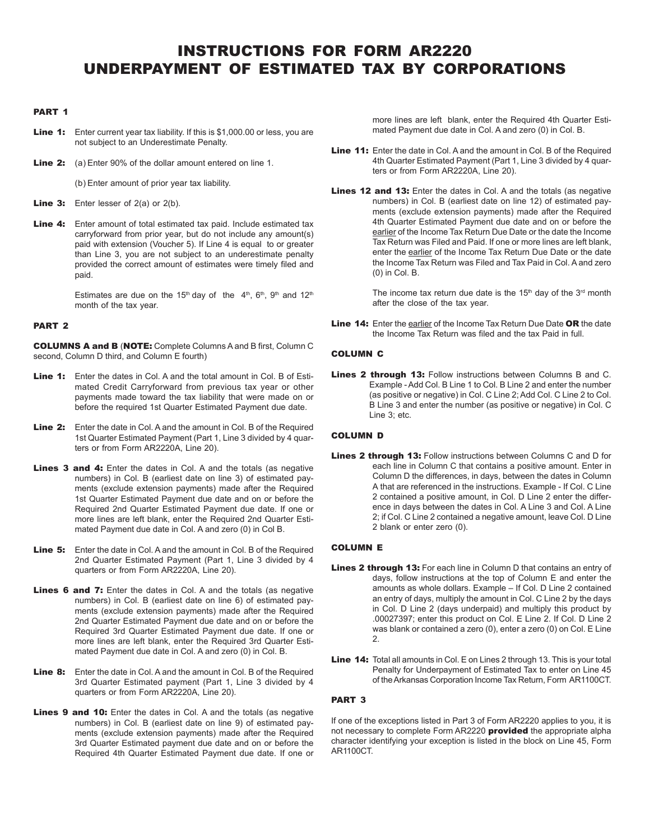### INSTRUCTIONS FOR FORM AR2220 UNDERPAYMENT OF ESTIMATED TAX BY CORPORATIONS

#### PART 1

- **Line 1:** Enter current year tax liability. If this is \$1,000.00 or less, you are not subject to an Underestimate Penalty.
- **Line 2:** (a) Enter 90% of the dollar amount entered on line 1.

(b) Enter amount of prior year tax liability.

- **Line 3:** Enter lesser of  $2(a)$  or  $2(b)$ .
- Line 4: Enter amount of total estimated tax paid. Include estimated tax carryforward from prior year, but do not include any amount(s) paid with extension (Voucher 5). If Line 4 is equal to or greater than Line 3, you are not subject to an underestimate penalty provided the correct amount of estimates were timely filed and paid.

Estimates are due on the 15<sup>th</sup> day of the  $4<sup>th</sup>$ , 6<sup>th</sup>, 9<sup>th</sup> and 12<sup>th</sup> month of the tax year.

#### PART 2

COLUMNS A and B (NOTE: Complete Columns A and B first, Column C second, Column D third, and Column E fourth)

- Line 1: Enter the dates in Col. A and the total amount in Col. B of Estimated Credit Carryforward from previous tax year or other payments made toward the tax liability that were made on or before the required 1st Quarter Estimated Payment due date.
- Line 2: Enter the date in Col. A and the amount in Col. B of the Required 1st Quarter Estimated Payment (Part 1, Line 3 divided by 4 quarters or from Form AR2220A, Line 20).
- Lines 3 and 4: Enter the dates in Col. A and the totals (as negative numbers) in Col. B (earliest date on line 3) of estimated payments (exclude extension payments) made after the Required 1st Quarter Estimated Payment due date and on or before the Required 2nd Quarter Estimated Payment due date. If one or more lines are left blank, enter the Required 2nd Quarter Estimated Payment due date in Col. A and zero (0) in Col B.
- Line 5: Enter the date in Col. A and the amount in Col. B of the Required 2nd Quarter Estimated Payment (Part 1, Line 3 divided by 4 quarters or from Form AR2220A, Line 20).
- Lines 6 and 7: Enter the dates in Col. A and the totals (as negative numbers) in Col. B (earliest date on line 6) of estimated payments (exclude extension payments) made after the Required 2nd Quarter Estimated Payment due date and on or before the Required 3rd Quarter Estimated Payment due date. If one or more lines are left blank, enter the Required 3rd Quarter Estimated Payment due date in Col. A and zero (0) in Col. B.
- Line 8: Enter the date in Col. A and the amount in Col. B of the Required 3rd Quarter Estimated payment (Part 1, Line 3 divided by 4 quarters or from Form AR2220A, Line 20).
- Lines 9 and 10: Enter the dates in Col. A and the totals (as negative numbers) in Col. B (earliest date on line 9) of estimated payments (exclude extension payments) made after the Required 3rd Quarter Estimated payment due date and on or before the Required 4th Quarter Estimated Payment due date. If one or

more lines are left blank, enter the Required 4th Quarter Estimated Payment due date in Col. A and zero (0) in Col. B.

- Line 11: Enter the date in Col. A and the amount in Col. B of the Required 4th Quarter Estimated Payment (Part 1, Line 3 divided by 4 quarters or from Form AR2220A, Line 20).
- Lines 12 and 13: Enter the dates in Col. A and the totals (as negative numbers) in Col. B (earliest date on line 12) of estimated payments (exclude extension payments) made after the Required 4th Quarter Estimated Payment due date and on or before the earlier of the Income Tax Return Due Date or the date the Income Tax Return was Filed and Paid. If one or more lines are left blank, enter the earlier of the Income Tax Return Due Date or the date the Income Tax Return was Filed and Tax Paid in Col. A and zero (0) in Col. B.

The income tax return due date is the  $15<sup>th</sup>$  day of the  $3<sup>rd</sup>$  month after the close of the tax year.

Line 14: Enter the earlier of the Income Tax Return Due Date OR the date the Income Tax Return was filed and the tax Paid in full.

#### COLUMN C

Lines 2 through 13: Follow instructions between Columns B and C. Example - Add Col. B Line 1 to Col. B Line 2 and enter the number (as positive or negative) in Col. C Line 2; Add Col. C Line 2 to Col. B Line 3 and enter the number (as positive or negative) in Col. C Line 3; etc.

#### COLUMN D

Lines 2 through 13: Follow instructions between Columns C and D for each line in Column C that contains a positive amount. Enter in Column D the differences, in days, between the dates in Column A that are referenced in the instructions. Example - If Col. C Line 2 contained a positive amount, in Col. D Line 2 enter the difference in days between the dates in Col. A Line 3 and Col. A Line 2; if Col. C Line 2 contained a negative amount, leave Col. D Line 2 blank or enter zero (0).

#### COLUMN E

- Lines 2 through 13: For each line in Column D that contains an entry of days, follow instructions at the top of Column E and enter the amounts as whole dollars. Example – If Col. D Line 2 contained an entry of days, multiply the amount in Col. C Line 2 by the days in Col. D Line 2 (days underpaid) and multiply this product by .00027397; enter this product on Col. E Line 2. If Col. D Line 2 was blank or contained a zero (0), enter a zero (0) on Col. E Line  $\mathfrak{p}$
- Line 14: Total all amounts in Col. E on Lines 2 through 13. This is your total Penalty for Underpayment of Estimated Tax to enter on Line 45 of the Arkansas Corporation Income Tax Return, Form AR1100CT.

#### PART 3

If one of the exceptions listed in Part 3 of Form AR2220 applies to you, it is not necessary to complete Form AR2220 **provided** the appropriate alpha character identifying your exception is listed in the block on Line 45, Form AR1100CT.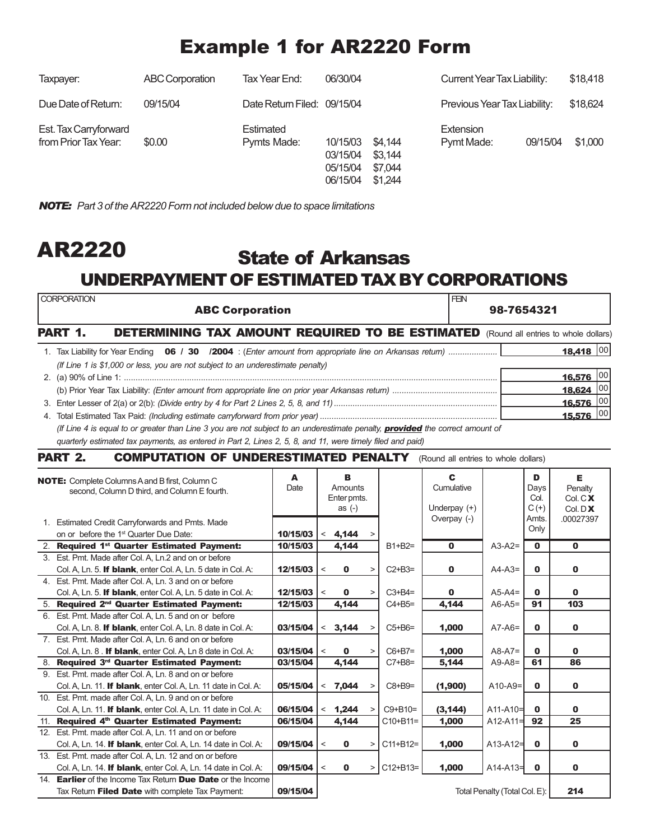## Example 1 for AR2220 Form

| Taxpayer:                                     | <b>ABC Corporation</b> | Tax Year End:               | 06/30/04                                     |                                          | <b>Current Year Tax Liability:</b> |          | \$18,418 |
|-----------------------------------------------|------------------------|-----------------------------|----------------------------------------------|------------------------------------------|------------------------------------|----------|----------|
| Due Date of Return:                           | 09/15/04               | Date Return Filed: 09/15/04 |                                              |                                          | Previous Year Tax Liability:       |          | \$18,624 |
| Est. Tax Carryforward<br>from Prior Tax Year: | \$0.00                 | Estimated<br>Pymts Made:    | 10/15/03<br>03/15/04<br>05/15/04<br>06/15/04 | \$4.144<br>\$3.144<br>\$7,044<br>\$1.244 | <b>Extension</b><br>Pymt Made:     | 09/15/04 | \$1,000  |

*NOTE: Part 3 of the AR2220 Form not included below due to space limitations*

### State of Arkansas UNDERPAYMENT OF ESTIMATED TAX BY CORPORATIONS AR2220

|     | <b>CORPORATION</b><br><b>ABC Corporation</b>                                                                                         |          |       |                        |        |               | <b>FEN</b>        | 98-7654321                    |              |                           |  |
|-----|--------------------------------------------------------------------------------------------------------------------------------------|----------|-------|------------------------|--------|---------------|-------------------|-------------------------------|--------------|---------------------------|--|
|     | PART 1.<br><b>DETERMINING TAX AMOUNT REQUIRED TO BE ESTIMATED</b> (Round all entries to whole dollars)                               |          |       |                        |        |               |                   |                               |              |                           |  |
|     | 1. Tax Liability for Year Ending <b>06 / 30 / 2004</b> : (Enter amount from appropriate line on Arkansas return)                     |          |       |                        |        |               |                   |                               |              | 18,418 00                 |  |
|     | (If Line 1 is \$1,000 or less, you are not subject to an underestimate penalty)                                                      |          |       |                        |        |               |                   |                               |              |                           |  |
|     |                                                                                                                                      |          |       |                        |        |               |                   |                               |              | 00<br>16,576              |  |
|     |                                                                                                                                      |          |       |                        |        |               |                   |                               |              | 18,624 00                 |  |
|     |                                                                                                                                      |          |       |                        |        |               |                   |                               | 16,576 00    |                           |  |
|     |                                                                                                                                      |          |       |                        |        |               |                   |                               | 15,576 00    |                           |  |
|     | (If Line 4 is equal to or greater than Line 3 you are not subject to an underestimate penalty, <b>provided</b> the correct amount of |          |       |                        |        |               |                   |                               |              |                           |  |
|     | quarterly estimated tax payments, as entered in Part 2, Lines 2, 5, 8, and 11, were timely filed and paid)                           |          |       |                        |        |               |                   |                               |              |                           |  |
|     | <b>PART 2.</b><br><b>COMPUTATION OF UNDERESTIMATED PENALTY</b> (Round all entries to whole dollars)                                  |          |       |                        |        |               |                   |                               |              |                           |  |
|     | <b>NOTE:</b> Complete Columns A and B first, Column C                                                                                | A        |       | B                      |        |               | C.                |                               | D            | Е                         |  |
|     | second, Column D third, and Column E fourth.                                                                                         | Date     |       | Amounts<br>Enter pmts. |        |               | Cumulative        |                               | Days<br>Col. | Penalty<br>Col.C <b>X</b> |  |
|     |                                                                                                                                      |          |       | as $(-)$               |        |               | Underpay $(+)$    |                               | $C(+)$       | Col. $D X$                |  |
|     | 1. Estimated Credit Carryforwards and Pmts. Made                                                                                     |          |       |                        |        |               | Overpay (-)       |                               | Amts.        | .00027397                 |  |
|     | on or before the 1 <sup>st</sup> Quarter Due Date:                                                                                   | 10/15/03 |       | 4,144                  |        |               |                   |                               | Only         |                           |  |
|     | 2. Required 1 <sup>st</sup> Quarter Estimated Payment:                                                                               | 10/15/03 |       | 4,144                  |        | $B1 + B2 =$   | $\mathbf{0}$      | $A3-A2=$                      | $\mathbf{0}$ | $\mathbf 0$               |  |
|     | 3. Est. Pmt. Made after Col. A, Ln.2 and on or before                                                                                |          |       |                        |        |               |                   |                               |              |                           |  |
|     | Col. A, Ln. 5. If blank, enter Col. A, Ln. 5 date in Col. A:                                                                         | 12/15/03 | $\,<$ | $\mathbf{0}$           | $\geq$ | $C2+B3=$      | $\mathbf 0$       | $A4-A3=$                      | $\mathbf{0}$ | $\mathbf 0$               |  |
|     | 4. Est. Pmt. Made after Col. A, Ln. 3 and on or before                                                                               |          |       |                        |        |               |                   |                               |              |                           |  |
|     | Col. A, Ln. 5. If blank, enter Col. A, Ln. 5 date in Col. A:                                                                         | 12/15/03 | $\,<$ | 0                      | $\, >$ | $C3+BA=$      | 0                 | $A5-A4=$                      | 0            | 0                         |  |
|     | 5. Required 2 <sup>nd</sup> Quarter Estimated Payment:                                                                               | 12/15/03 |       | 4,144                  |        | $C4 + B5 =$   | 4,144             | $A6-A5=$                      | 91           | 103                       |  |
|     | 6. Est. Pmt. Made after Col. A, Ln. 5 and on or before                                                                               |          |       |                        |        |               |                   |                               |              |                           |  |
|     | Col. A, Ln. 8. If blank, enter Col. A, Ln. 8 date in Col. A:                                                                         | 03/15/04 |       | < 3,144                | $\, >$ | $C5 + B6 =$   | 1,000             | $A7-A6=$                      | $\mathbf{0}$ | 0                         |  |
|     | 7. Est. Pmt. Made after Col. A, Ln. 6 and on or before                                                                               |          |       |                        |        |               |                   |                               |              |                           |  |
|     | Col. A, Ln. 8. If blank, enter Col. A, Ln 8 date in Col. A:                                                                          | 03/15/04 | $\,<$ | $\bf{0}$               | $\geq$ | $C6+B7=$      | 1,000             | $A8-A7=$                      | 0            | 0                         |  |
|     | 8. Required 3rd Quarter Estimated Payment:                                                                                           | 03/15/04 |       | 4,144                  |        | $C7+B8=$      | 5,144             | $A9-A8=$                      | 61           | 86                        |  |
|     | 9. Est. Pmt. made after Col. A, Ln. 8 and on or before                                                                               |          |       |                        |        |               |                   |                               |              |                           |  |
|     | Col. A, Ln. 11. If blank, enter Col. A, Ln. 11 date in Col. A:                                                                       | 05/15/04 | $\,<$ | 7,044                  |        | $C8 + B9 =$   | (1,900)           | $A10-A9=$                     | $\mathbf{0}$ | 0                         |  |
|     | 10. Est. Pmt. made after Col. A, Ln. 9 and on or before<br>Col. A, Ln. 11. If blank, enter Col. A, Ln. 11 date in Col. A:            | 06/15/04 |       |                        | $\, >$ | $C9 + B10 =$  |                   | $A11-A10=$                    | $\mathbf 0$  | 0                         |  |
|     | 11. Required 4th Quarter Estimated Payment:                                                                                          | 06/15/04 |       | < 1,244<br>4,144       |        | $C10 + B11 =$ | (3, 144)<br>1,000 | $A12-A11=$                    | 92           | 25                        |  |
|     | 12. Est. Pmt. made after Col. A, Ln. 11 and on or before                                                                             |          |       |                        |        |               |                   |                               |              |                           |  |
|     | Col. A, Ln. 14. If blank, enter Col. A, Ln. 14 date in Col. A:                                                                       | 09/15/04 | $\,<$ | $\mathbf 0$            | $\, >$ | $C11 + B12 =$ | 1,000             | $A13-A12=$                    | $\mathbf{0}$ | $\mathbf{0}$              |  |
|     | 13. Est. Pmt. made after Col. A, Ln. 12 and on or before                                                                             |          |       |                        |        |               |                   |                               |              |                           |  |
|     | Col. A, Ln. 14. If blank, enter Col. A, Ln. 14 date in Col. A:                                                                       | 09/15/04 | $\,<$ | $\mathbf 0$            | $\,$   | C12+B13=      | 1,000             | $A14 - A13 =$                 | $\mathbf 0$  | O                         |  |
| 14. | <b>Earlier</b> of the Income Tax Return <b>Due Date</b> or the Income                                                                |          |       |                        |        |               |                   |                               |              |                           |  |
|     | Tax Return Filed Date with complete Tax Payment:                                                                                     | 09/15/04 |       |                        |        |               |                   | Total Penalty (Total Col. E): |              | 214                       |  |
|     |                                                                                                                                      |          |       |                        |        |               |                   |                               |              |                           |  |